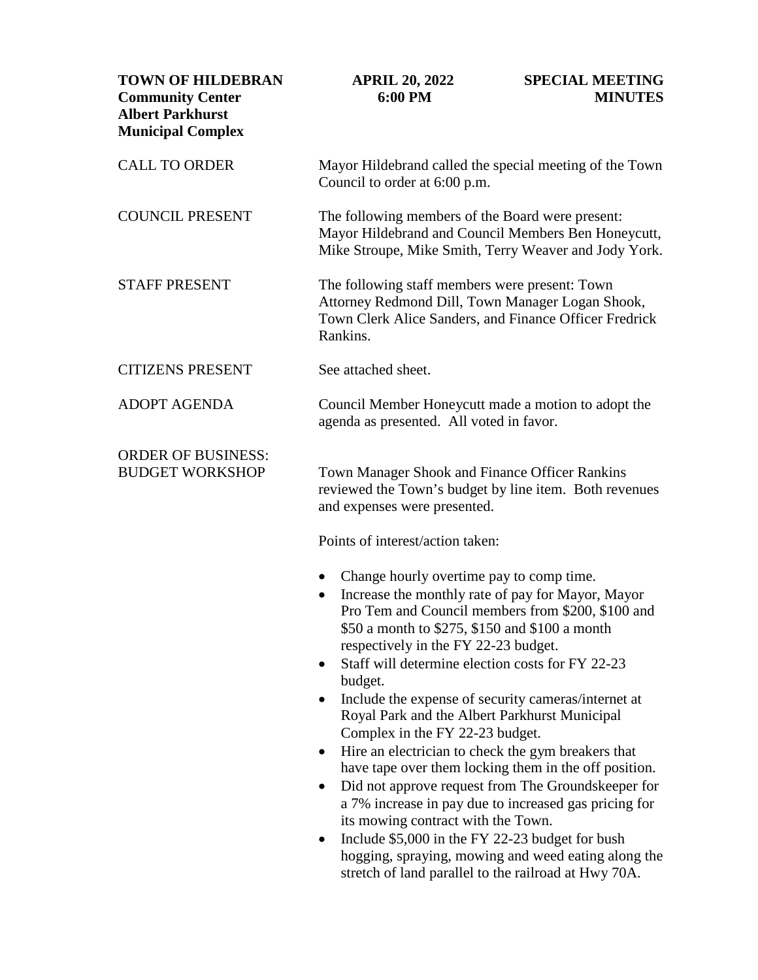| <b>TOWN OF HILDEBRAN</b><br><b>Community Center</b><br><b>Albert Parkhurst</b><br><b>Municipal Complex</b> | <b>APRIL 20, 2022</b><br>6:00 PM                                                                                                                                                                                                                                                      | <b>SPECIAL MEETING</b><br><b>MINUTES</b>                                                                                                                                                                                    |
|------------------------------------------------------------------------------------------------------------|---------------------------------------------------------------------------------------------------------------------------------------------------------------------------------------------------------------------------------------------------------------------------------------|-----------------------------------------------------------------------------------------------------------------------------------------------------------------------------------------------------------------------------|
| <b>CALL TO ORDER</b>                                                                                       | Mayor Hildebrand called the special meeting of the Town<br>Council to order at 6:00 p.m.                                                                                                                                                                                              |                                                                                                                                                                                                                             |
| <b>COUNCIL PRESENT</b>                                                                                     | The following members of the Board were present:<br>Mayor Hildebrand and Council Members Ben Honeycutt,<br>Mike Stroupe, Mike Smith, Terry Weaver and Jody York.                                                                                                                      |                                                                                                                                                                                                                             |
| <b>STAFF PRESENT</b>                                                                                       | The following staff members were present: Town<br>Attorney Redmond Dill, Town Manager Logan Shook,<br>Town Clerk Alice Sanders, and Finance Officer Fredrick<br>Rankins.                                                                                                              |                                                                                                                                                                                                                             |
| <b>CITIZENS PRESENT</b>                                                                                    | See attached sheet.                                                                                                                                                                                                                                                                   |                                                                                                                                                                                                                             |
| <b>ADOPT AGENDA</b>                                                                                        | Council Member Honeycutt made a motion to adopt the<br>agenda as presented. All voted in favor.                                                                                                                                                                                       |                                                                                                                                                                                                                             |
| <b>ORDER OF BUSINESS:</b><br><b>BUDGET WORKSHOP</b>                                                        | Town Manager Shook and Finance Officer Rankins<br>reviewed the Town's budget by line item. Both revenues<br>and expenses were presented.                                                                                                                                              |                                                                                                                                                                                                                             |
|                                                                                                            | Points of interest/action taken:                                                                                                                                                                                                                                                      |                                                                                                                                                                                                                             |
|                                                                                                            | Change hourly overtime pay to comp time.<br>$\bullet$<br>Increase the monthly rate of pay for Mayor, Mayor<br>٠<br>\$50 a month to \$275, \$150 and \$100 a month<br>respectively in the FY 22-23 budget.<br>Staff will determine election costs for FY 22-23<br>$\bullet$<br>budget. | Pro Tem and Council members from \$200, \$100 and                                                                                                                                                                           |
|                                                                                                            | Include the expense of security cameras/internet at<br>٠<br>Royal Park and the Albert Parkhurst Municipal<br>Complex in the FY 22-23 budget.                                                                                                                                          |                                                                                                                                                                                                                             |
|                                                                                                            | Hire an electrician to check the gym breakers that<br>٠<br>٠<br>its mowing contract with the Town.<br>Include \$5,000 in the FY 22-23 budget for bush<br>٠<br>stretch of land parallel to the railroad at Hwy 70A.                                                                    | have tape over them locking them in the off position.<br>Did not approve request from The Groundskeeper for<br>a 7% increase in pay due to increased gas pricing for<br>hogging, spraying, mowing and weed eating along the |